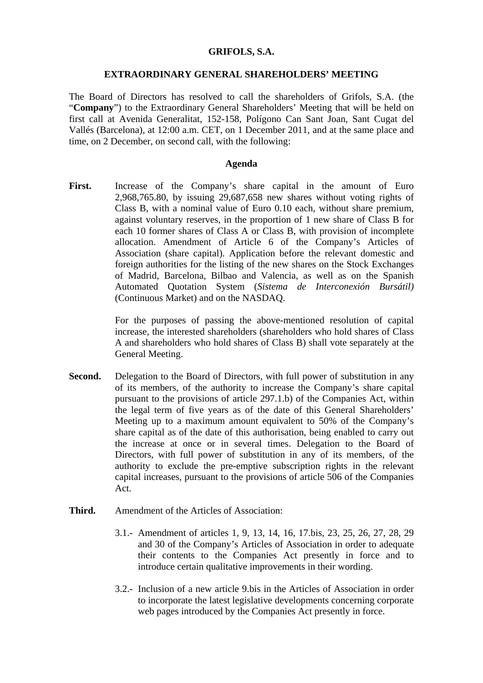#### **GRIFOLS, S.A.**

#### **EXTRAORDINARY GENERAL SHAREHOLDERS' MEETING**

The Board of Directors has resolved to call the shareholders of Grifols, S.A. (the "**Company**") to the Extraordinary General Shareholders' Meeting that will be held on first call at Avenida Generalitat, 152-158, Polígono Can Sant Joan, Sant Cugat del Vallés (Barcelona), at 12:00 a.m. CET, on 1 December 2011, and at the same place and time, on 2 December, on second call, with the following:

### **Agenda**

First. Increase of the Company's share capital in the amount of Euro 2,968,765.80, by issuing 29,687,658 new shares without voting rights of Class B, with a nominal value of Euro 0.10 each, without share premium, against voluntary reserves, in the proportion of 1 new share of Class B for each 10 former shares of Class A or Class B, with provision of incomplete allocation. Amendment of Article 6 of the Company's Articles of Association (share capital). Application before the relevant domestic and foreign authorities for the listing of the new shares on the Stock Exchanges of Madrid, Barcelona, Bilbao and Valencia, as well as on the Spanish Automated Quotation System (*Sistema de Interconexión Bursátil)*  (Continuous Market) and on the NASDAQ.

> For the purposes of passing the above-mentioned resolution of capital increase, the interested shareholders (shareholders who hold shares of Class A and shareholders who hold shares of Class B) shall vote separately at the General Meeting.

- **Second.** Delegation to the Board of Directors, with full power of substitution in any of its members, of the authority to increase the Company's share capital pursuant to the provisions of article 297.1.b) of the Companies Act, within the legal term of five years as of the date of this General Shareholders' Meeting up to a maximum amount equivalent to 50% of the Company's share capital as of the date of this authorisation, being enabled to carry out the increase at once or in several times. Delegation to the Board of Directors, with full power of substitution in any of its members, of the authority to exclude the pre-emptive subscription rights in the relevant capital increases, pursuant to the provisions of article 506 of the Companies Act.
- **Third.** Amendment of the Articles of Association:
	- 3.1.- Amendment of articles 1, 9, 13, 14, 16, 17.bis, 23, 25, 26, 27, 28, 29 and 30 of the Company's Articles of Association in order to adequate their contents to the Companies Act presently in force and to introduce certain qualitative improvements in their wording.
	- 3.2.- Inclusion of a new article 9.bis in the Articles of Association in order to incorporate the latest legislative developments concerning corporate web pages introduced by the Companies Act presently in force.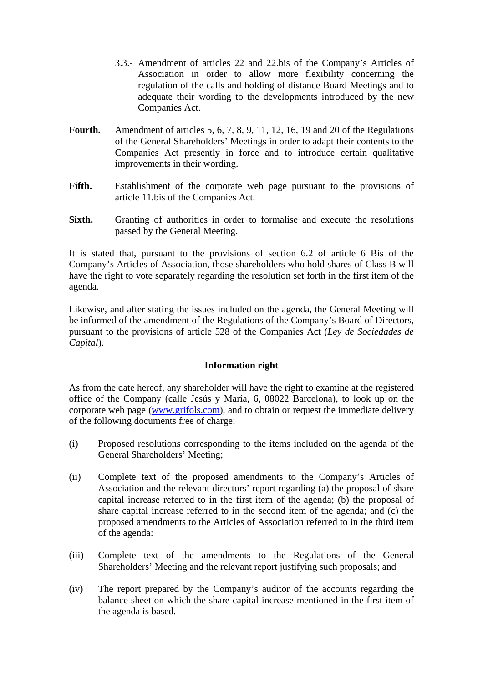- 3.3.- Amendment of articles 22 and 22.bis of the Company's Articles of Association in order to allow more flexibility concerning the regulation of the calls and holding of distance Board Meetings and to adequate their wording to the developments introduced by the new Companies Act.
- **Fourth.** Amendment of articles 5, 6, 7, 8, 9, 11, 12, 16, 19 and 20 of the Regulations of the General Shareholders' Meetings in order to adapt their contents to the Companies Act presently in force and to introduce certain qualitative improvements in their wording.
- Fifth. Establishment of the corporate web page pursuant to the provisions of article 11.bis of the Companies Act.
- **Sixth.** Granting of authorities in order to formalise and execute the resolutions passed by the General Meeting.

It is stated that, pursuant to the provisions of section 6.2 of article 6 Bis of the Company's Articles of Association, those shareholders who hold shares of Class B will have the right to vote separately regarding the resolution set forth in the first item of the agenda.

Likewise, and after stating the issues included on the agenda, the General Meeting will be informed of the amendment of the Regulations of the Company's Board of Directors, pursuant to the provisions of article 528 of the Companies Act (*Ley de Sociedades de Capital*).

# **Information right**

As from the date hereof, any shareholder will have the right to examine at the registered office of the Company (calle Jesús y María, 6, 08022 Barcelona), to look up on the corporate web page (www.grifols.com), and to obtain or request the immediate delivery of the following documents free of charge:

- (i) Proposed resolutions corresponding to the items included on the agenda of the General Shareholders' Meeting;
- (ii) Complete text of the proposed amendments to the Company's Articles of Association and the relevant directors' report regarding (a) the proposal of share capital increase referred to in the first item of the agenda; (b) the proposal of share capital increase referred to in the second item of the agenda; and (c) the proposed amendments to the Articles of Association referred to in the third item of the agenda:
- (iii) Complete text of the amendments to the Regulations of the General Shareholders' Meeting and the relevant report justifying such proposals; and
- (iv) The report prepared by the Company's auditor of the accounts regarding the balance sheet on which the share capital increase mentioned in the first item of the agenda is based.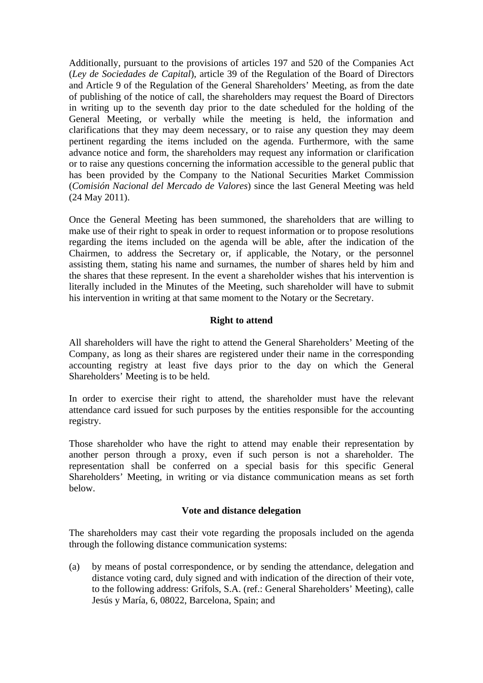Additionally, pursuant to the provisions of articles 197 and 520 of the Companies Act (*Ley de Sociedades de Capital*), article 39 of the Regulation of the Board of Directors and Article 9 of the Regulation of the General Shareholders' Meeting, as from the date of publishing of the notice of call, the shareholders may request the Board of Directors in writing up to the seventh day prior to the date scheduled for the holding of the General Meeting, or verbally while the meeting is held, the information and clarifications that they may deem necessary, or to raise any question they may deem pertinent regarding the items included on the agenda. Furthermore, with the same advance notice and form, the shareholders may request any information or clarification or to raise any questions concerning the information accessible to the general public that has been provided by the Company to the National Securities Market Commission (*Comisión Nacional del Mercado de Valores*) since the last General Meeting was held (24 May 2011).

Once the General Meeting has been summoned, the shareholders that are willing to make use of their right to speak in order to request information or to propose resolutions regarding the items included on the agenda will be able, after the indication of the Chairmen, to address the Secretary or, if applicable, the Notary, or the personnel assisting them, stating his name and surnames, the number of shares held by him and the shares that these represent. In the event a shareholder wishes that his intervention is literally included in the Minutes of the Meeting, such shareholder will have to submit his intervention in writing at that same moment to the Notary or the Secretary.

# **Right to attend**

All shareholders will have the right to attend the General Shareholders' Meeting of the Company, as long as their shares are registered under their name in the corresponding accounting registry at least five days prior to the day on which the General Shareholders' Meeting is to be held.

In order to exercise their right to attend, the shareholder must have the relevant attendance card issued for such purposes by the entities responsible for the accounting registry.

Those shareholder who have the right to attend may enable their representation by another person through a proxy, even if such person is not a shareholder. The representation shall be conferred on a special basis for this specific General Shareholders' Meeting, in writing or via distance communication means as set forth below.

## **Vote and distance delegation**

The shareholders may cast their vote regarding the proposals included on the agenda through the following distance communication systems:

(a) by means of postal correspondence, or by sending the attendance, delegation and distance voting card, duly signed and with indication of the direction of their vote, to the following address: Grifols, S.A. (ref.: General Shareholders' Meeting), calle Jesús y María, 6, 08022, Barcelona, Spain; and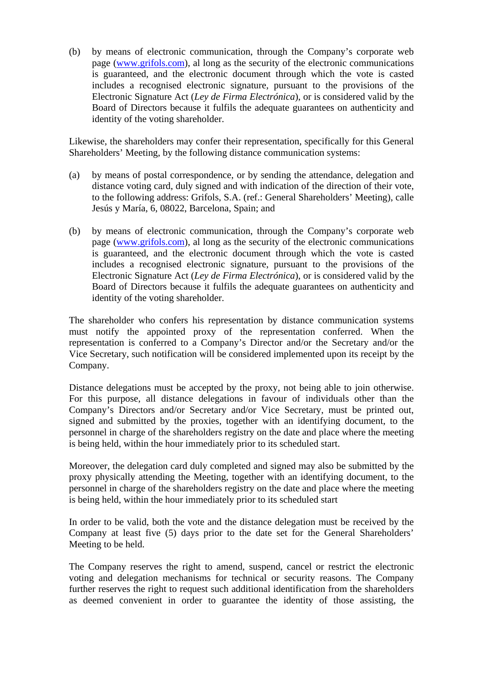(b) by means of electronic communication, through the Company's corporate web page (www.grifols.com), al long as the security of the electronic communications is guaranteed, and the electronic document through which the vote is casted includes a recognised electronic signature, pursuant to the provisions of the Electronic Signature Act (*Ley de Firma Electrónica*), or is considered valid by the Board of Directors because it fulfils the adequate guarantees on authenticity and identity of the voting shareholder.

Likewise, the shareholders may confer their representation, specifically for this General Shareholders' Meeting, by the following distance communication systems:

- (a) by means of postal correspondence, or by sending the attendance, delegation and distance voting card, duly signed and with indication of the direction of their vote, to the following address: Grifols, S.A. (ref.: General Shareholders' Meeting), calle Jesús y María, 6, 08022, Barcelona, Spain; and
- (b) by means of electronic communication, through the Company's corporate web page (www.grifols.com), al long as the security of the electronic communications is guaranteed, and the electronic document through which the vote is casted includes a recognised electronic signature, pursuant to the provisions of the Electronic Signature Act (*Ley de Firma Electrónica*), or is considered valid by the Board of Directors because it fulfils the adequate guarantees on authenticity and identity of the voting shareholder.

The shareholder who confers his representation by distance communication systems must notify the appointed proxy of the representation conferred. When the representation is conferred to a Company's Director and/or the Secretary and/or the Vice Secretary, such notification will be considered implemented upon its receipt by the Company.

Distance delegations must be accepted by the proxy, not being able to join otherwise. For this purpose, all distance delegations in favour of individuals other than the Company's Directors and/or Secretary and/or Vice Secretary, must be printed out, signed and submitted by the proxies, together with an identifying document, to the personnel in charge of the shareholders registry on the date and place where the meeting is being held, within the hour immediately prior to its scheduled start.

Moreover, the delegation card duly completed and signed may also be submitted by the proxy physically attending the Meeting, together with an identifying document, to the personnel in charge of the shareholders registry on the date and place where the meeting is being held, within the hour immediately prior to its scheduled start

In order to be valid, both the vote and the distance delegation must be received by the Company at least five (5) days prior to the date set for the General Shareholders' Meeting to be held.

The Company reserves the right to amend, suspend, cancel or restrict the electronic voting and delegation mechanisms for technical or security reasons. The Company further reserves the right to request such additional identification from the shareholders as deemed convenient in order to guarantee the identity of those assisting, the